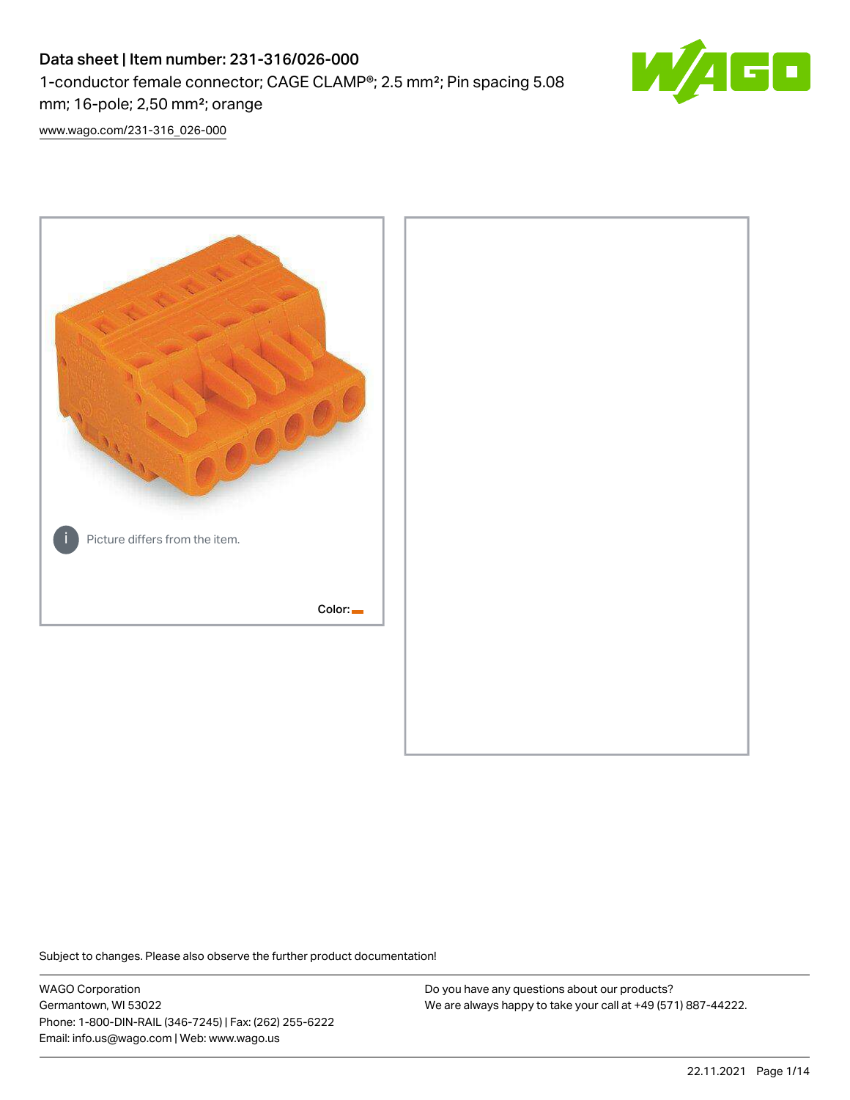# Data sheet | Item number: 231-316/026-000 1-conductor female connector; CAGE CLAMP®; 2.5 mm²; Pin spacing 5.08 mm; 16-pole; 2,50 mm²; orange



[www.wago.com/231-316\\_026-000](http://www.wago.com/231-316_026-000)



Subject to changes. Please also observe the further product documentation!

WAGO Corporation Germantown, WI 53022 Phone: 1-800-DIN-RAIL (346-7245) | Fax: (262) 255-6222 Email: info.us@wago.com | Web: www.wago.us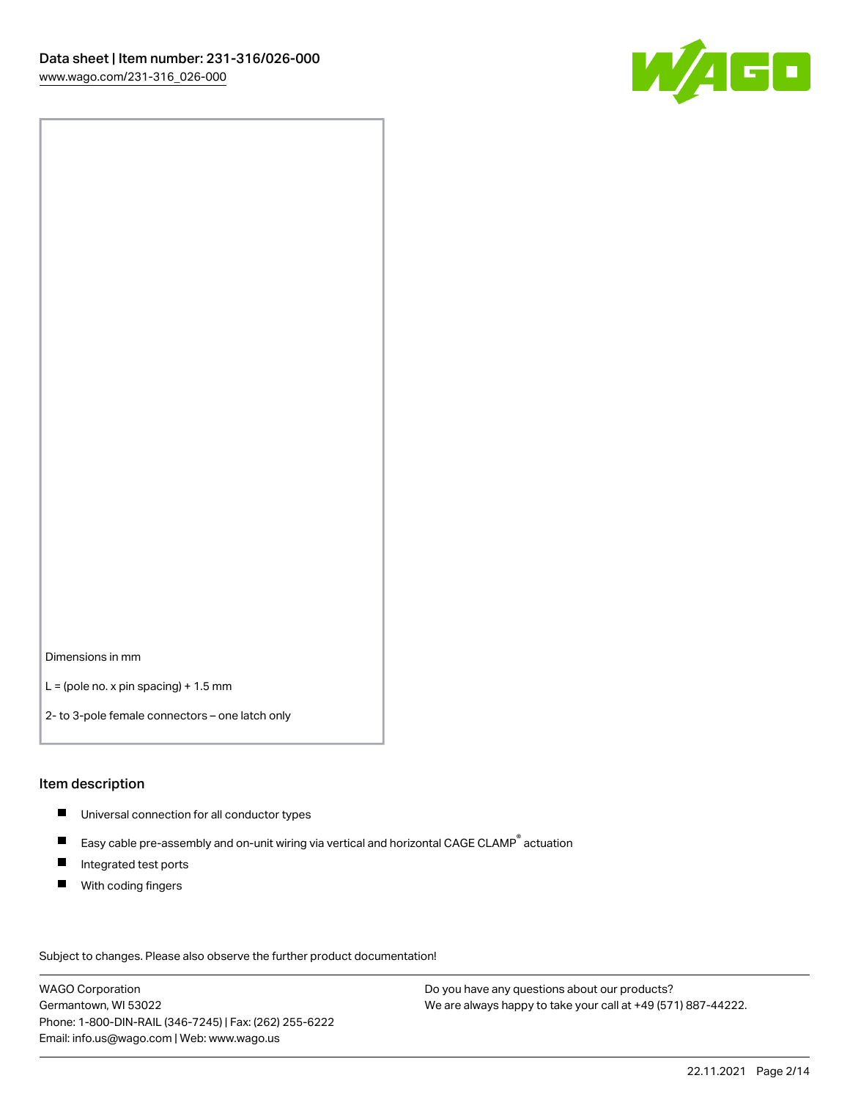

Dimensions in mm

 $L =$  (pole no. x pin spacing) + 1.5 mm

2- to 3-pole female connectors – one latch only

#### Item description

- **Universal connection for all conductor types**
- Easy cable pre-assembly and on-unit wiring via vertical and horizontal CAGE CLAMP<sup>®</sup> actuation  $\blacksquare$
- $\blacksquare$ Integrated test ports
- $\blacksquare$ With coding fingers

Subject to changes. Please also observe the further product documentation! Data

WAGO Corporation Germantown, WI 53022 Phone: 1-800-DIN-RAIL (346-7245) | Fax: (262) 255-6222 Email: info.us@wago.com | Web: www.wago.us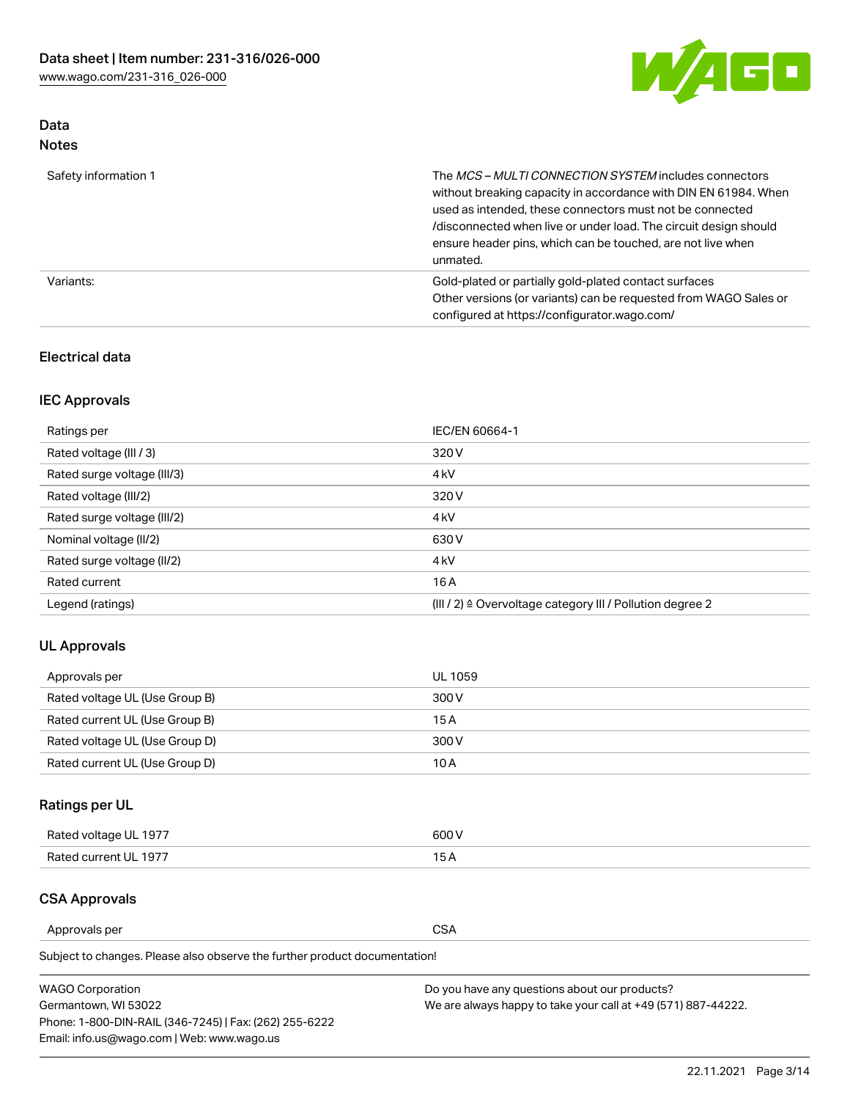

## Data Notes

| Safety information 1 | The MCS-MULTI CONNECTION SYSTEM includes connectors<br>without breaking capacity in accordance with DIN EN 61984. When<br>used as intended, these connectors must not be connected<br>/disconnected when live or under load. The circuit design should<br>ensure header pins, which can be touched, are not live when<br>unmated. |
|----------------------|-----------------------------------------------------------------------------------------------------------------------------------------------------------------------------------------------------------------------------------------------------------------------------------------------------------------------------------|
| Variants:            | Gold-plated or partially gold-plated contact surfaces<br>Other versions (or variants) can be requested from WAGO Sales or<br>configured at https://configurator.wago.com/                                                                                                                                                         |

### Electrical data

## IEC Approvals

| Ratings per                 | IEC/EN 60664-1                                                        |
|-----------------------------|-----------------------------------------------------------------------|
| Rated voltage (III / 3)     | 320 V                                                                 |
| Rated surge voltage (III/3) | 4 <sub>k</sub> V                                                      |
| Rated voltage (III/2)       | 320 V                                                                 |
| Rated surge voltage (III/2) | 4 <sub>k</sub> V                                                      |
| Nominal voltage (II/2)      | 630 V                                                                 |
| Rated surge voltage (II/2)  | 4 <sub>k</sub> V                                                      |
| Rated current               | 16 A                                                                  |
| Legend (ratings)            | $(III / 2)$ $\triangle$ Overvoltage category III / Pollution degree 2 |

## UL Approvals

| Approvals per                  | UL 1059 |
|--------------------------------|---------|
| Rated voltage UL (Use Group B) | 300 V   |
| Rated current UL (Use Group B) | 15 A    |
| Rated voltage UL (Use Group D) | 300 V   |
| Rated current UL (Use Group D) | 10 A    |

# Ratings per UL

| Rated voltage UL 1977 | 300 V |
|-----------------------|-------|
| Rated current UL 1977 |       |

#### CSA Approvals

Approvals per CSA

Subject to changes. Please also observe the further product documentation!

| <b>WAGO Corporation</b>                                | Do you have any questions about our products?                 |
|--------------------------------------------------------|---------------------------------------------------------------|
| Germantown, WI 53022                                   | We are always happy to take your call at +49 (571) 887-44222. |
| Phone: 1-800-DIN-RAIL (346-7245)   Fax: (262) 255-6222 |                                                               |
| Email: info.us@wago.com   Web: www.wago.us             |                                                               |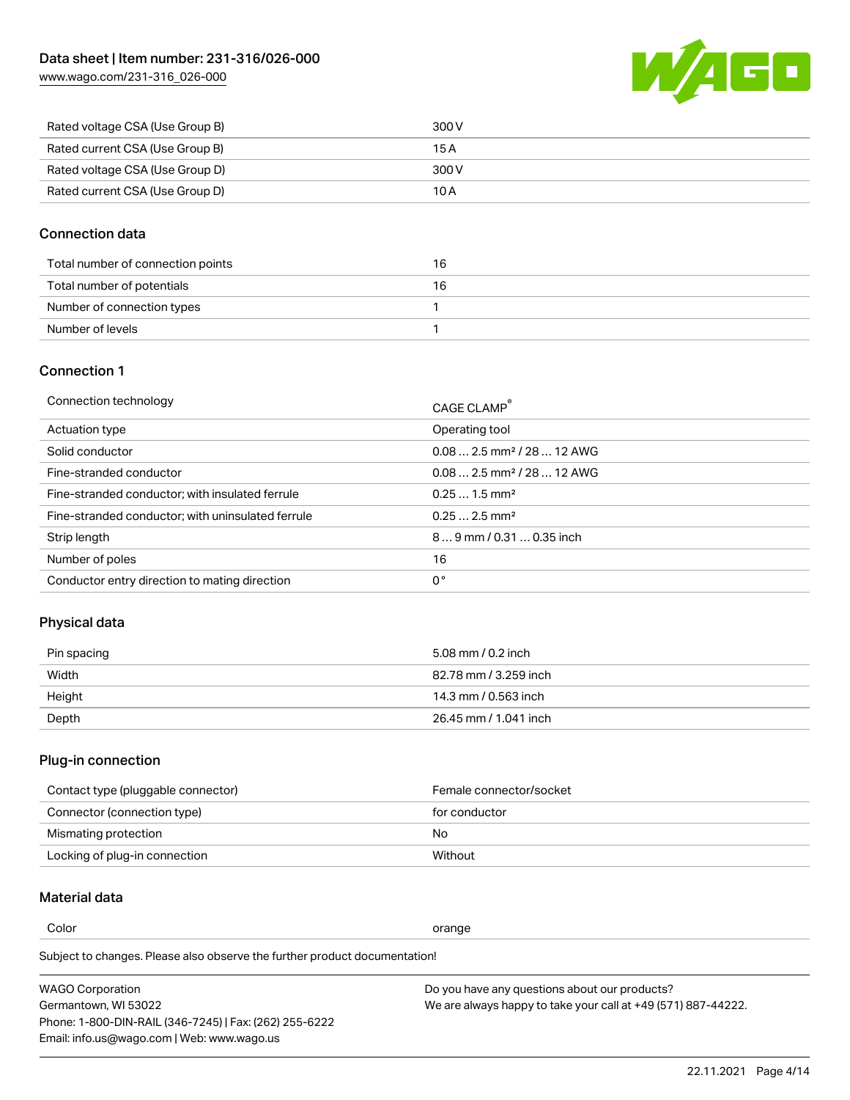[www.wago.com/231-316\\_026-000](http://www.wago.com/231-316_026-000)



| Rated voltage CSA (Use Group B) | 300 V |
|---------------------------------|-------|
| Rated current CSA (Use Group B) | 15 A  |
| Rated voltage CSA (Use Group D) | 300 V |
| Rated current CSA (Use Group D) | 10 A  |

### Connection data

| Total number of connection points | 16 |
|-----------------------------------|----|
| Total number of potentials        | 16 |
| Number of connection types        |    |
| Number of levels                  |    |

#### Connection 1

| Connection technology                             | CAGE CLAMP®                             |
|---------------------------------------------------|-----------------------------------------|
| Actuation type                                    | Operating tool                          |
| Solid conductor                                   | $0.08$ 2.5 mm <sup>2</sup> / 28  12 AWG |
| Fine-stranded conductor                           | $0.082.5$ mm <sup>2</sup> / 28  12 AWG  |
| Fine-stranded conductor; with insulated ferrule   | $0.251.5$ mm <sup>2</sup>               |
| Fine-stranded conductor; with uninsulated ferrule | $0.252.5$ mm <sup>2</sup>               |
| Strip length                                      | $89$ mm / 0.31  0.35 inch               |
| Number of poles                                   | 16                                      |
| Conductor entry direction to mating direction     | 0°                                      |
|                                                   |                                         |

# Physical data

| Pin spacing | 5.08 mm / 0.2 inch    |
|-------------|-----------------------|
| Width       | 82.78 mm / 3.259 inch |
| Height      | 14.3 mm / 0.563 inch  |
| Depth       | 26.45 mm / 1.041 inch |

# Plug-in connection

| Contact type (pluggable connector) | Female connector/socket |
|------------------------------------|-------------------------|
| Connector (connection type)        | for conductor           |
| Mismating protection               | No                      |
| Locking of plug-in connection      | Without                 |

## Material data

Color contracts and contracts of the contracts of the contracts of the contracts of the contracts of the contracts of the contracts of the contracts of the contracts of the contracts of the contracts of the contracts of th

Subject to changes. Please also observe the further product documentation! Material group I

| <b>WAGO Corporation</b>                                | Do you have any questions about our products?                 |
|--------------------------------------------------------|---------------------------------------------------------------|
| Germantown, WI 53022                                   | We are always happy to take your call at +49 (571) 887-44222. |
| Phone: 1-800-DIN-RAIL (346-7245)   Fax: (262) 255-6222 |                                                               |
| Email: info.us@wago.com   Web: www.wago.us             |                                                               |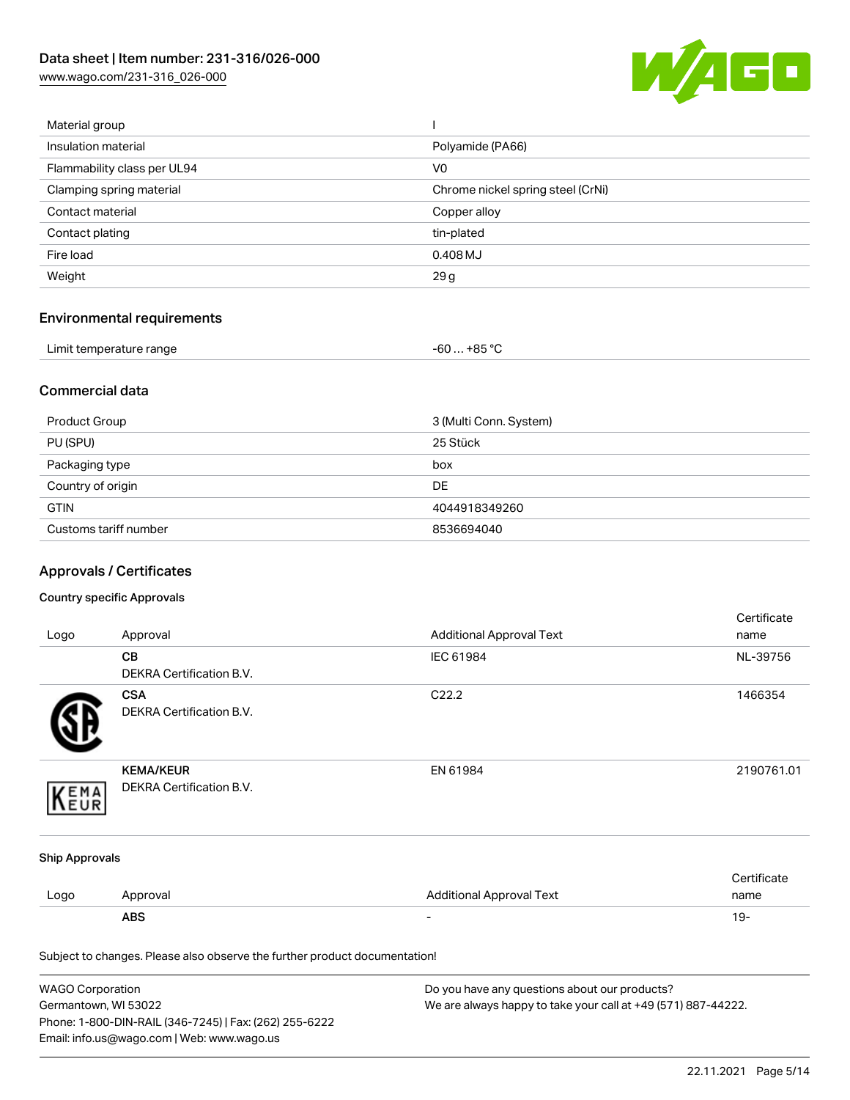[www.wago.com/231-316\\_026-000](http://www.wago.com/231-316_026-000)



| Material group              |                                   |
|-----------------------------|-----------------------------------|
| Insulation material         | Polyamide (PA66)                  |
| Flammability class per UL94 | V <sub>0</sub>                    |
| Clamping spring material    | Chrome nickel spring steel (CrNi) |
| Contact material            | Copper alloy                      |
| Contact plating             | tin-plated                        |
| Fire load                   | 0.408 MJ                          |
| Weight                      | 29 g                              |
|                             |                                   |

# Environmental requirements

| Limit temperature range | $-60+85 °C$ |  |
|-------------------------|-------------|--|
|-------------------------|-------------|--|

### Commercial data

| Product Group         | 3 (Multi Conn. System) |
|-----------------------|------------------------|
| PU (SPU)              | 25 Stück               |
| Packaging type        | box                    |
| Country of origin     | <b>DE</b>              |
| <b>GTIN</b>           | 4044918349260          |
| Customs tariff number | 8536694040             |

# Approvals / Certificates

#### Country specific Approvals

| Logo                  | Approval                                                                   | <b>Additional Approval Text</b> | Certificate<br>name |
|-----------------------|----------------------------------------------------------------------------|---------------------------------|---------------------|
|                       | CВ<br>DEKRA Certification B.V.                                             | IEC 61984                       | NL-39756            |
|                       | <b>CSA</b><br><b>DEKRA Certification B.V.</b>                              | C22.2                           | 1466354             |
| EMA                   | <b>KEMA/KEUR</b><br>DEKRA Certification B.V.                               | EN 61984                        | 2190761.01          |
| <b>Ship Approvals</b> |                                                                            |                                 |                     |
| Logo                  | Approval                                                                   | <b>Additional Approval Text</b> | Certificate<br>name |
|                       | <b>ABS</b>                                                                 |                                 | $19 -$              |
|                       | Subject to changes. Please also observe the further product documentation! |                                 |                     |

| <b>WAGO Corporation</b>                                | Do you have any questions about our products?                 |
|--------------------------------------------------------|---------------------------------------------------------------|
| Germantown, WI 53022                                   | We are always happy to take your call at +49 (571) 887-44222. |
| Phone: 1-800-DIN-RAIL (346-7245)   Fax: (262) 255-6222 |                                                               |
| Email: info.us@wago.com   Web: www.wago.us             |                                                               |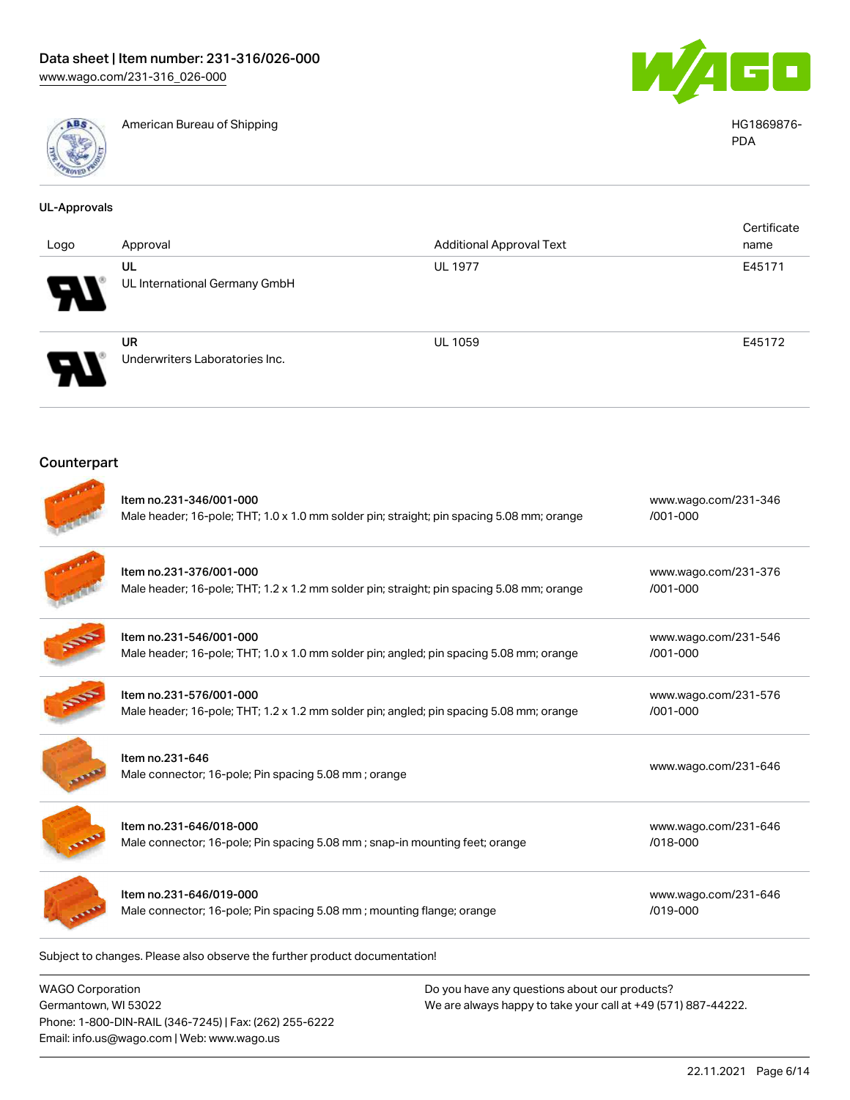

American Bureau of Shipping HG1869876-



PDA

| <b>UL-Approvals</b> |                                                                                                        |                                                                                           |                                      |
|---------------------|--------------------------------------------------------------------------------------------------------|-------------------------------------------------------------------------------------------|--------------------------------------|
| Logo                | Approval                                                                                               | <b>Additional Approval Text</b>                                                           | Certificate<br>name                  |
|                     | UL<br>UL International Germany GmbH                                                                    | <b>UL 1977</b>                                                                            | E45171                               |
|                     | <b>UR</b><br>Underwriters Laboratories Inc.                                                            | <b>UL 1059</b>                                                                            | E45172                               |
| Counterpart         |                                                                                                        |                                                                                           |                                      |
|                     | Item no.231-346/001-000                                                                                | Male header; 16-pole; THT; 1.0 x 1.0 mm solder pin; straight; pin spacing 5.08 mm; orange | www.wago.com/231-346<br>$/001 - 000$ |
|                     | Item no.231-376/001-000                                                                                | Male header; 16-pole; THT; 1.2 x 1.2 mm solder pin; straight; pin spacing 5.08 mm; orange | www.wago.com/231-376<br>/001-000     |
|                     | Item no.231-546/001-000                                                                                | Male header; 16-pole; THT; 1.0 x 1.0 mm solder pin; angled; pin spacing 5.08 mm; orange   | www.wago.com/231-546<br>/001-000     |
|                     | Item no.231-576/001-000                                                                                | Male header; 16-pole; THT; 1.2 x 1.2 mm solder pin; angled; pin spacing 5.08 mm; orange   | www.wago.com/231-576<br>/001-000     |
|                     | Item no.231-646<br>Male connector; 16-pole; Pin spacing 5.08 mm; orange                                |                                                                                           | www.wago.com/231-646                 |
|                     | Item no.231-646/018-000<br>Male connector; 16-pole; Pin spacing 5.08 mm; snap-in mounting feet; orange |                                                                                           | www.wago.com/231-646<br>/018-000     |
|                     | Item no.231-646/019-000<br>Male connector; 16-pole; Pin spacing 5.08 mm; mounting flange; orange       |                                                                                           | www.wago.com/231-646<br>/019-000     |

Subject to changes. Please also observe the further product documentation!

WAGO Corporation Germantown, WI 53022 Phone: 1-800-DIN-RAIL (346-7245) | Fax: (262) 255-6222 Email: info.us@wago.com | Web: www.wago.us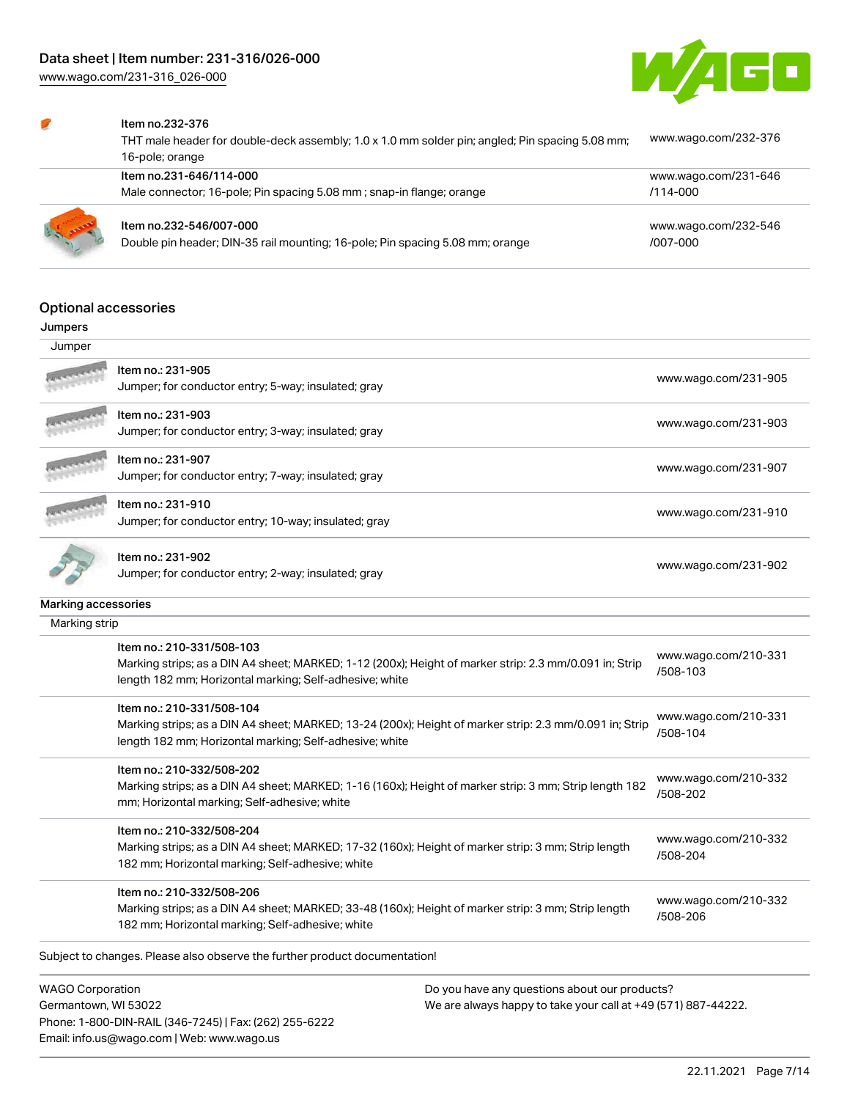[www.wago.com/231-316\\_026-000](http://www.wago.com/231-316_026-000)



#### Item no.232-376

| THT male header for double-deck assembly; 1.0 x 1.0 mm solder pin; angled; Pin spacing 5.08 mm;<br>16-pole; orange | www.wago.com/232-376             |
|--------------------------------------------------------------------------------------------------------------------|----------------------------------|
| Item no.231-646/114-000                                                                                            | www.wago.com/231-646             |
| Male connector; 16-pole; Pin spacing 5.08 mm; snap-in flange; orange                                               | $/114 - 000$                     |
| Item no.232-546/007-000<br>Double pin header; DIN-35 rail mounting; 16-pole; Pin spacing 5.08 mm; orange           | www.wago.com/232-546<br>/007-000 |

### Optional accessories

#### Jumpers

| Jumper              |                                                                                                                                                                                                 |                                  |
|---------------------|-------------------------------------------------------------------------------------------------------------------------------------------------------------------------------------------------|----------------------------------|
|                     | Item no.: 231-905<br>Jumper; for conductor entry; 5-way; insulated; gray                                                                                                                        | www.wago.com/231-905             |
|                     | Item no.: 231-903<br>Jumper; for conductor entry; 3-way; insulated; gray                                                                                                                        | www.wago.com/231-903             |
|                     | Item no.: 231-907<br>Jumper; for conductor entry; 7-way; insulated; gray                                                                                                                        | www.wago.com/231-907             |
|                     | Item no.: 231-910<br>Jumper; for conductor entry; 10-way; insulated; gray                                                                                                                       | www.wago.com/231-910             |
|                     | Item no.: 231-902<br>Jumper; for conductor entry; 2-way; insulated; gray                                                                                                                        | www.wago.com/231-902             |
| Marking accessories |                                                                                                                                                                                                 |                                  |
| Marking strip       |                                                                                                                                                                                                 |                                  |
|                     | Item no.: 210-331/508-103<br>Marking strips; as a DIN A4 sheet; MARKED; 1-12 (200x); Height of marker strip: 2.3 mm/0.091 in; Strip<br>length 182 mm; Horizontal marking; Self-adhesive; white  | www.wago.com/210-331<br>/508-103 |
|                     | Item no.: 210-331/508-104<br>Marking strips; as a DIN A4 sheet; MARKED; 13-24 (200x); Height of marker strip: 2.3 mm/0.091 in; Strip<br>length 182 mm; Horizontal marking; Self-adhesive; white | www.wago.com/210-331<br>/508-104 |
|                     | Item no.: 210-332/508-202<br>Marking strips; as a DIN A4 sheet; MARKED; 1-16 (160x); Height of marker strip: 3 mm; Strip length 182<br>mm; Horizontal marking; Self-adhesive; white             | www.wago.com/210-332<br>/508-202 |
|                     | Item no.: 210-332/508-204<br>Marking strips; as a DIN A4 sheet; MARKED; 17-32 (160x); Height of marker strip: 3 mm; Strip length<br>182 mm; Horizontal marking; Self-adhesive; white            | www.wago.com/210-332<br>/508-204 |
|                     | Item no.: 210-332/508-206<br>Marking strips; as a DIN A4 sheet; MARKED; 33-48 (160x); Height of marker strip: 3 mm; Strip length<br>182 mm; Horizontal marking; Self-adhesive; white            | www.wago.com/210-332<br>/508-206 |
|                     | Subject to changes. Please also observe the further product documentation!                                                                                                                      |                                  |

WAGO Corporation Germantown, WI 53022 Phone: 1-800-DIN-RAIL (346-7245) | Fax: (262) 255-6222 Email: info.us@wago.com | Web: www.wago.us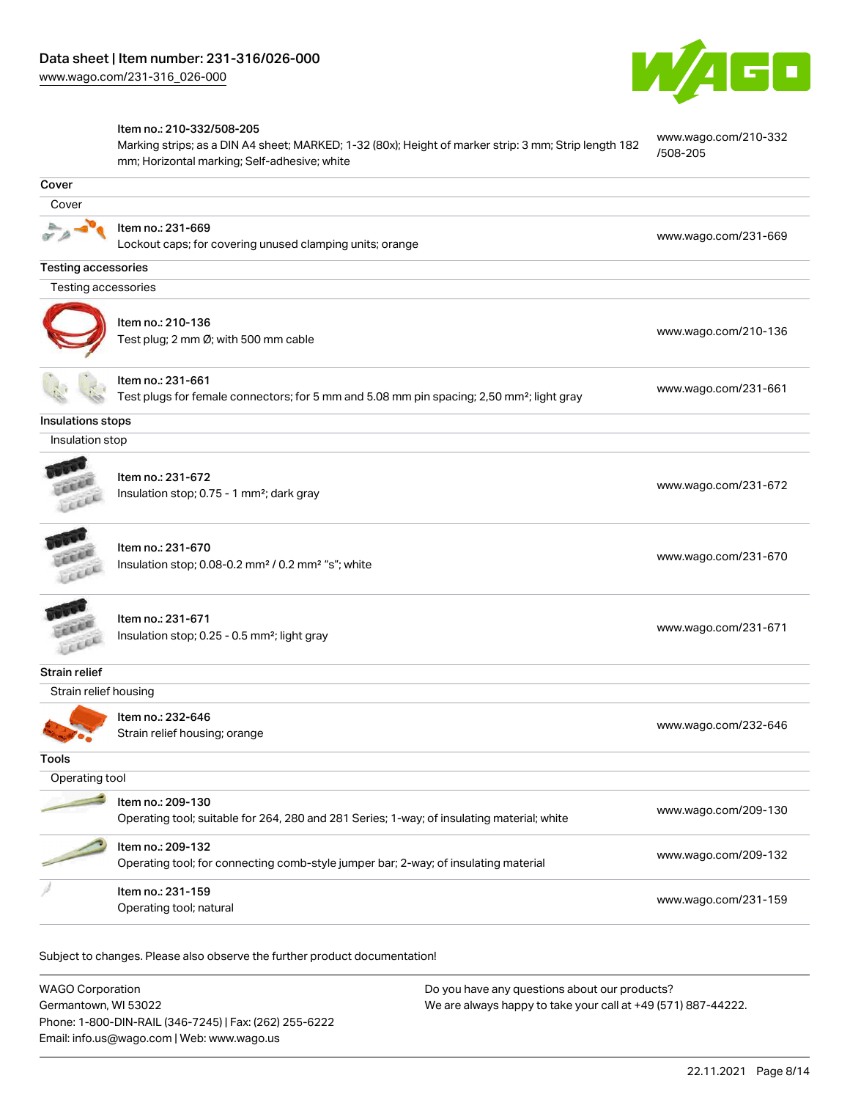

#### Item no.: 210-332/508-205

Marking strips; as a DIN A4 sheet; MARKED; 1-32 (80x); Height of marker strip: 3 mm; Strip length 182 mm; Horizontal marking; Self-adhesive; white [www.wago.com/210-332](http://www.wago.com/210-332/508-205) [/508-205](http://www.wago.com/210-332/508-205)

| Cover                      |                                                                                                                            |                      |
|----------------------------|----------------------------------------------------------------------------------------------------------------------------|----------------------|
| Cover                      |                                                                                                                            |                      |
|                            | Item no.: 231-669<br>Lockout caps; for covering unused clamping units; orange                                              | www.wago.com/231-669 |
| <b>Testing accessories</b> |                                                                                                                            |                      |
| Testing accessories        |                                                                                                                            |                      |
|                            | Item no.: 210-136<br>Test plug; 2 mm Ø; with 500 mm cable                                                                  | www.wago.com/210-136 |
|                            | Item no.: 231-661<br>Test plugs for female connectors; for 5 mm and 5.08 mm pin spacing; 2,50 mm <sup>2</sup> ; light gray | www.wago.com/231-661 |
| Insulations stops          |                                                                                                                            |                      |
| Insulation stop            |                                                                                                                            |                      |
|                            | Item no.: 231-672<br>Insulation stop; 0.75 - 1 mm <sup>2</sup> ; dark gray                                                 | www.wago.com/231-672 |
| Leece                      | Item no.: 231-670<br>Insulation stop; 0.08-0.2 mm <sup>2</sup> / 0.2 mm <sup>2</sup> "s"; white                            | www.wago.com/231-670 |
|                            | Item no.: 231-671<br>Insulation stop; 0.25 - 0.5 mm <sup>2</sup> ; light gray                                              | www.wago.com/231-671 |
| <b>Strain relief</b>       |                                                                                                                            |                      |
| Strain relief housing      |                                                                                                                            |                      |
|                            | Item no.: 232-646<br>Strain relief housing; orange                                                                         | www.wago.com/232-646 |
| Tools                      |                                                                                                                            |                      |
| Operating tool             |                                                                                                                            |                      |
|                            | Item no.: 209-130<br>Operating tool; suitable for 264, 280 and 281 Series; 1-way; of insulating material; white            | www.wago.com/209-130 |
|                            | Item no.: 209-132<br>Operating tool; for connecting comb-style jumper bar; 2-way; of insulating material                   | www.wago.com/209-132 |
|                            | Item no.: 231-159<br>Operating tool; natural                                                                               | www.wago.com/231-159 |
|                            |                                                                                                                            |                      |

Subject to changes. Please also observe the further product documentation!

| <b>WAGO Corporation</b>                                | Do you have any questions about our products?                 |
|--------------------------------------------------------|---------------------------------------------------------------|
| Germantown, WI 53022                                   | We are always happy to take your call at +49 (571) 887-44222. |
| Phone: 1-800-DIN-RAIL (346-7245)   Fax: (262) 255-6222 |                                                               |
| Email: info.us@wago.com   Web: www.wago.us             |                                                               |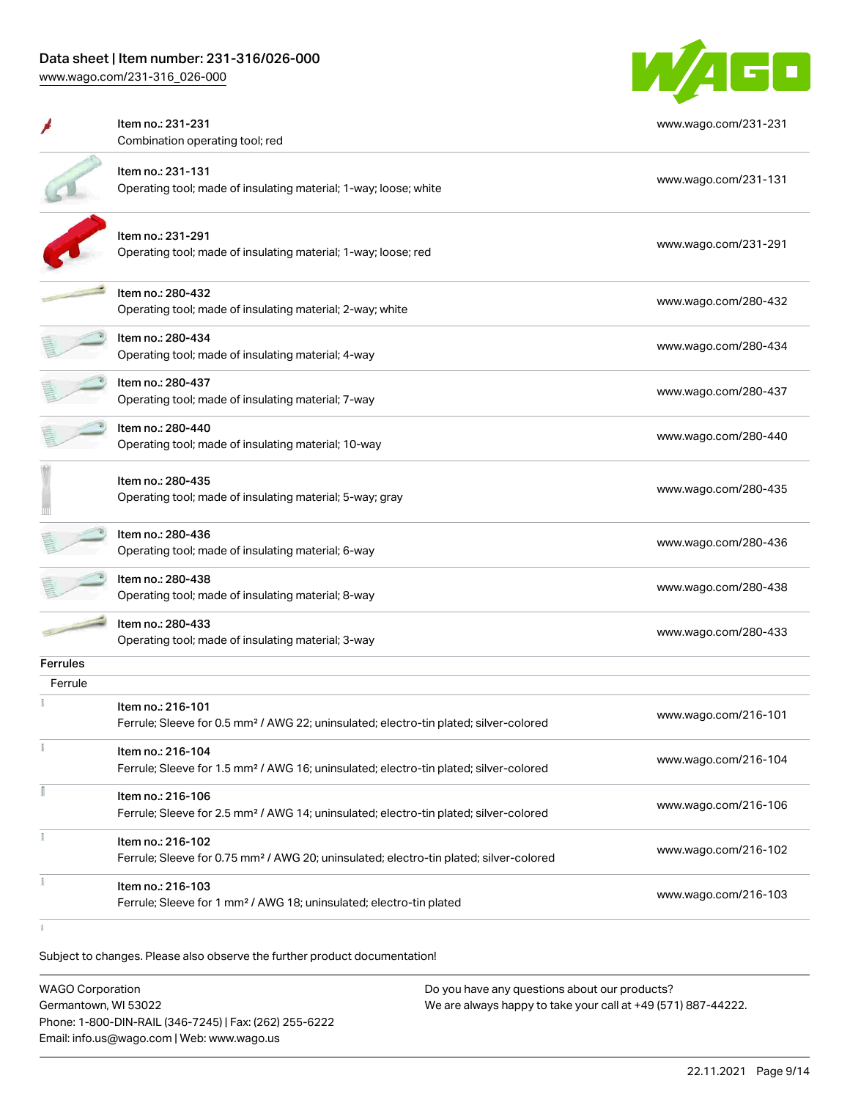# Data sheet | Item number: 231-316/026-000

[www.wago.com/231-316\\_026-000](http://www.wago.com/231-316_026-000)



|                 | Item no.: 231-231<br>Combination operating tool; red                                                                    | www.wago.com/231-231 |
|-----------------|-------------------------------------------------------------------------------------------------------------------------|----------------------|
|                 | Item no.: 231-131<br>Operating tool; made of insulating material; 1-way; loose; white                                   | www.wago.com/231-131 |
|                 | Item no.: 231-291<br>Operating tool; made of insulating material; 1-way; loose; red                                     | www.wago.com/231-291 |
|                 | Item no.: 280-432<br>Operating tool; made of insulating material; 2-way; white                                          | www.wago.com/280-432 |
|                 | Item no.: 280-434<br>Operating tool; made of insulating material; 4-way                                                 | www.wago.com/280-434 |
|                 | Item no.: 280-437<br>Operating tool; made of insulating material; 7-way                                                 | www.wago.com/280-437 |
|                 | Item no.: 280-440<br>Operating tool; made of insulating material; 10-way                                                | www.wago.com/280-440 |
|                 | Item no.: 280-435<br>Operating tool; made of insulating material; 5-way; gray                                           | www.wago.com/280-435 |
|                 | Item no.: 280-436<br>Operating tool; made of insulating material; 6-way                                                 | www.wago.com/280-436 |
|                 | Item no.: 280-438<br>Operating tool; made of insulating material; 8-way                                                 | www.wago.com/280-438 |
|                 | Item no.: 280-433<br>Operating tool; made of insulating material; 3-way                                                 | www.wago.com/280-433 |
| <b>Ferrules</b> |                                                                                                                         |                      |
| Ferrule         | Item no.: 216-101<br>Ferrule; Sleeve for 0.5 mm <sup>2</sup> / AWG 22; uninsulated; electro-tin plated; silver-colored  | www.wago.com/216-101 |
|                 | Item no.: 216-104<br>Ferrule; Sleeve for 1.5 mm <sup>2</sup> / AWG 16; uninsulated; electro-tin plated; silver-colored  | www.wago.com/216-104 |
|                 | Item no.: 216-106<br>Ferrule; Sleeve for 2.5 mm <sup>2</sup> / AWG 14; uninsulated; electro-tin plated; silver-colored  | www.wago.com/216-106 |
| ł               | Item no.: 216-102<br>Ferrule; Sleeve for 0.75 mm <sup>2</sup> / AWG 20; uninsulated; electro-tin plated; silver-colored | www.wago.com/216-102 |
|                 | Item no.: 216-103<br>Ferrule; Sleeve for 1 mm <sup>2</sup> / AWG 18; uninsulated; electro-tin plated                    | www.wago.com/216-103 |
|                 |                                                                                                                         |                      |

Subject to changes. Please also observe the further product documentation!

WAGO Corporation Germantown, WI 53022 Phone: 1-800-DIN-RAIL (346-7245) | Fax: (262) 255-6222 Email: info.us@wago.com | Web: www.wago.us Do you have any questions about our products? We are always happy to take your call at +49 (571) 887-44222.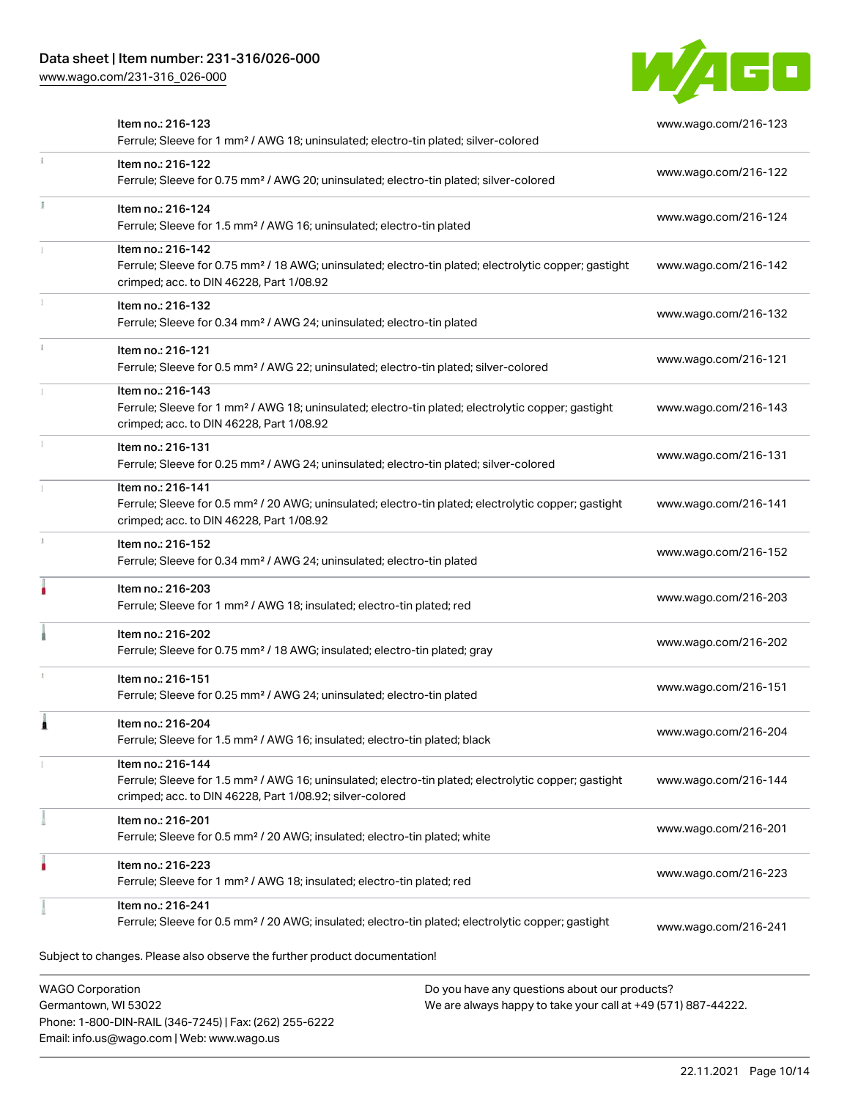## Data sheet | Item number: 231-316/026-000

Phone: 1-800-DIN-RAIL (346-7245) | Fax: (262) 255-6222

Email: info.us@wago.com | Web: www.wago.us

[www.wago.com/231-316\\_026-000](http://www.wago.com/231-316_026-000)



| Item no.: 216-123<br>Ferrule; Sleeve for 1 mm <sup>2</sup> / AWG 18; uninsulated; electro-tin plated; silver-colored                                                                              | www.wago.com/216-123                                                                                           |
|---------------------------------------------------------------------------------------------------------------------------------------------------------------------------------------------------|----------------------------------------------------------------------------------------------------------------|
| Item no.: 216-122<br>Ferrule; Sleeve for 0.75 mm <sup>2</sup> / AWG 20; uninsulated; electro-tin plated; silver-colored                                                                           | www.wago.com/216-122                                                                                           |
| Item no.: 216-124<br>Ferrule; Sleeve for 1.5 mm <sup>2</sup> / AWG 16; uninsulated; electro-tin plated                                                                                            | www.wago.com/216-124                                                                                           |
| Item no.: 216-142<br>Ferrule; Sleeve for 0.75 mm <sup>2</sup> / 18 AWG; uninsulated; electro-tin plated; electrolytic copper; gastight<br>crimped; acc. to DIN 46228, Part 1/08.92                | www.wago.com/216-142                                                                                           |
| Item no.: 216-132<br>Ferrule; Sleeve for 0.34 mm <sup>2</sup> / AWG 24; uninsulated; electro-tin plated                                                                                           | www.wago.com/216-132                                                                                           |
| Item no.: 216-121<br>Ferrule; Sleeve for 0.5 mm <sup>2</sup> / AWG 22; uninsulated; electro-tin plated; silver-colored                                                                            | www.wago.com/216-121                                                                                           |
| Item no.: 216-143<br>Ferrule; Sleeve for 1 mm <sup>2</sup> / AWG 18; uninsulated; electro-tin plated; electrolytic copper; gastight<br>crimped; acc. to DIN 46228, Part 1/08.92                   | www.wago.com/216-143                                                                                           |
| Item no.: 216-131<br>Ferrule; Sleeve for 0.25 mm <sup>2</sup> / AWG 24; uninsulated; electro-tin plated; silver-colored                                                                           | www.wago.com/216-131                                                                                           |
| Item no.: 216-141<br>Ferrule; Sleeve for 0.5 mm <sup>2</sup> / 20 AWG; uninsulated; electro-tin plated; electrolytic copper; gastight<br>crimped; acc. to DIN 46228, Part 1/08.92                 | www.wago.com/216-141                                                                                           |
| Item no.: 216-152<br>Ferrule; Sleeve for 0.34 mm <sup>2</sup> / AWG 24; uninsulated; electro-tin plated                                                                                           | www.wago.com/216-152                                                                                           |
| Item no.: 216-203<br>Ferrule; Sleeve for 1 mm <sup>2</sup> / AWG 18; insulated; electro-tin plated; red                                                                                           | www.wago.com/216-203                                                                                           |
| Item no.: 216-202<br>Ferrule; Sleeve for 0.75 mm <sup>2</sup> / 18 AWG; insulated; electro-tin plated; gray                                                                                       | www.wago.com/216-202                                                                                           |
| Item no.: 216-151<br>Ferrule; Sleeve for 0.25 mm <sup>2</sup> / AWG 24; uninsulated; electro-tin plated                                                                                           | www.wago.com/216-151                                                                                           |
| Item no.: 216-204<br>Ferrule; Sleeve for 1.5 mm <sup>2</sup> / AWG 16; insulated; electro-tin plated; black                                                                                       | www.wago.com/216-204                                                                                           |
| Item no.: 216-144<br>Ferrule; Sleeve for 1.5 mm <sup>2</sup> / AWG 16; uninsulated; electro-tin plated; electrolytic copper; gastight<br>crimped; acc. to DIN 46228, Part 1/08.92; silver-colored | www.wago.com/216-144                                                                                           |
| Item no.: 216-201<br>Ferrule; Sleeve for 0.5 mm <sup>2</sup> / 20 AWG; insulated; electro-tin plated; white                                                                                       | www.wago.com/216-201                                                                                           |
| Item no.: 216-223<br>Ferrule; Sleeve for 1 mm <sup>2</sup> / AWG 18; insulated; electro-tin plated; red                                                                                           | www.wago.com/216-223                                                                                           |
| Item no.: 216-241<br>Ferrule; Sleeve for 0.5 mm <sup>2</sup> / 20 AWG; insulated; electro-tin plated; electrolytic copper; gastight                                                               | www.wago.com/216-241                                                                                           |
| Subject to changes. Please also observe the further product documentation!                                                                                                                        |                                                                                                                |
| <b>WAGO Corporation</b><br>Germantown, WI 53022                                                                                                                                                   | Do you have any questions about our products?<br>We are always happy to take your call at +49 (571) 887-44222. |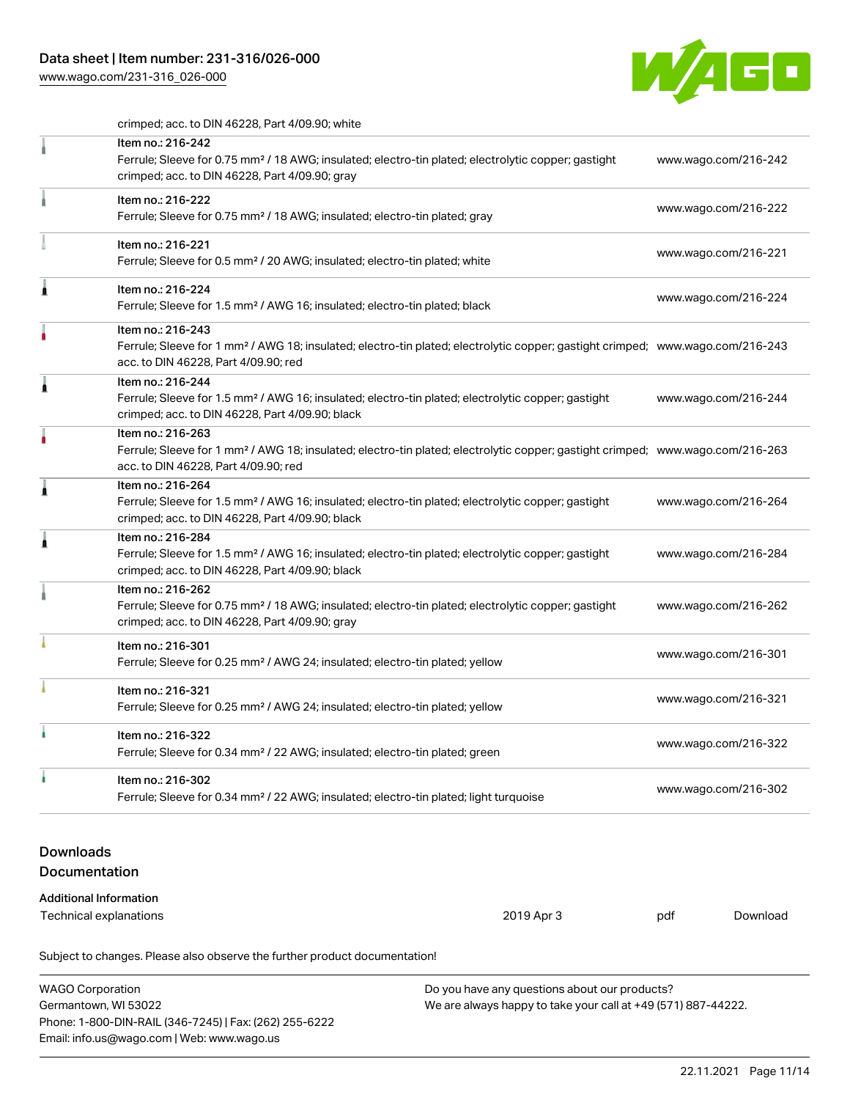## Data sheet | Item number: 231-316/026-000

[www.wago.com/231-316\\_026-000](http://www.wago.com/231-316_026-000)



crimped; acc. to DIN 46228, Part 4/09.90; white

|                                                                                                                                                                                        | Subject to changes. Please also observe the further product documentation!                                                                                                                              |                      |                      |                      |  |
|----------------------------------------------------------------------------------------------------------------------------------------------------------------------------------------|---------------------------------------------------------------------------------------------------------------------------------------------------------------------------------------------------------|----------------------|----------------------|----------------------|--|
|                                                                                                                                                                                        | <b>Additional Information</b><br><b>Technical explanations</b>                                                                                                                                          | 2019 Apr 3           | pdf                  | Download             |  |
| <b>Downloads</b><br>Documentation                                                                                                                                                      |                                                                                                                                                                                                         |                      |                      |                      |  |
| ì                                                                                                                                                                                      | Item no.: 216-302<br>Ferrule; Sleeve for 0.34 mm <sup>2</sup> / 22 AWG; insulated; electro-tin plated; light turquoise                                                                                  |                      | www.wago.com/216-302 |                      |  |
| à                                                                                                                                                                                      | Item no.: 216-322<br>Ferrule; Sleeve for 0.34 mm <sup>2</sup> / 22 AWG; insulated; electro-tin plated; green                                                                                            | www.wago.com/216-322 |                      |                      |  |
|                                                                                                                                                                                        | Item no.: 216-321<br>Ferrule; Sleeve for 0.25 mm <sup>2</sup> / AWG 24; insulated; electro-tin plated; yellow                                                                                           |                      | www.wago.com/216-321 |                      |  |
|                                                                                                                                                                                        | Item no.: 216-301<br>Ferrule; Sleeve for 0.25 mm <sup>2</sup> / AWG 24; insulated; electro-tin plated; yellow                                                                                           |                      | www.wago.com/216-301 |                      |  |
| Item no.: 216-262<br>Ferrule; Sleeve for 0.75 mm <sup>2</sup> / 18 AWG; insulated; electro-tin plated; electrolytic copper; gastight<br>crimped; acc. to DIN 46228, Part 4/09.90; gray |                                                                                                                                                                                                         |                      | www.wago.com/216-262 |                      |  |
| ı                                                                                                                                                                                      | Item no.: 216-284<br>Ferrule; Sleeve for 1.5 mm <sup>2</sup> / AWG 16; insulated; electro-tin plated; electrolytic copper; gastight<br>crimped; acc. to DIN 46228, Part 4/09.90; black                  |                      |                      | www.wago.com/216-284 |  |
| ۸                                                                                                                                                                                      | Item no.: 216-264<br>Ferrule; Sleeve for 1.5 mm <sup>2</sup> / AWG 16; insulated; electro-tin plated; electrolytic copper; gastight<br>crimped; acc. to DIN 46228, Part 4/09.90; black                  |                      |                      | www.wago.com/216-264 |  |
|                                                                                                                                                                                        | Item no.: 216-263<br>Ferrule; Sleeve for 1 mm <sup>2</sup> / AWG 18; insulated; electro-tin plated; electrolytic copper; gastight crimped; www.wago.com/216-263<br>acc. to DIN 46228, Part 4/09.90; red |                      |                      |                      |  |
| Â                                                                                                                                                                                      | Item no.: 216-244<br>Ferrule; Sleeve for 1.5 mm <sup>2</sup> / AWG 16; insulated; electro-tin plated; electrolytic copper; gastight<br>crimped; acc. to DIN 46228, Part 4/09.90; black                  |                      | www.wago.com/216-244 |                      |  |
|                                                                                                                                                                                        | Item no.: 216-243<br>Ferrule; Sleeve for 1 mm <sup>2</sup> / AWG 18; insulated; electro-tin plated; electrolytic copper; gastight crimped; www.wago.com/216-243<br>acc. to DIN 46228, Part 4/09.90; red |                      |                      |                      |  |
| Â                                                                                                                                                                                      | Item no.: 216-224<br>Ferrule; Sleeve for 1.5 mm <sup>2</sup> / AWG 16; insulated; electro-tin plated; black                                                                                             |                      | www.wago.com/216-224 |                      |  |
|                                                                                                                                                                                        | Item no.: 216-221<br>Ferrule; Sleeve for 0.5 mm <sup>2</sup> / 20 AWG; insulated; electro-tin plated; white                                                                                             | www.wago.com/216-221 |                      |                      |  |
|                                                                                                                                                                                        | Item no.: 216-222<br>Ferrule; Sleeve for 0.75 mm <sup>2</sup> / 18 AWG; insulated; electro-tin plated; gray                                                                                             |                      |                      | www.wago.com/216-222 |  |
|                                                                                                                                                                                        | Item no.: 216-242<br>Ferrule; Sleeve for 0.75 mm <sup>2</sup> / 18 AWG; insulated; electro-tin plated; electrolytic copper; gastight<br>crimped; acc. to DIN 46228, Part 4/09.90; gray                  | www.wago.com/216-242 |                      |                      |  |

WAGO Corporation Germantown, WI 53022 Phone: 1-800-DIN-RAIL (346-7245) | Fax: (262) 255-6222 Email: info.us@wago.com | Web: www.wago.us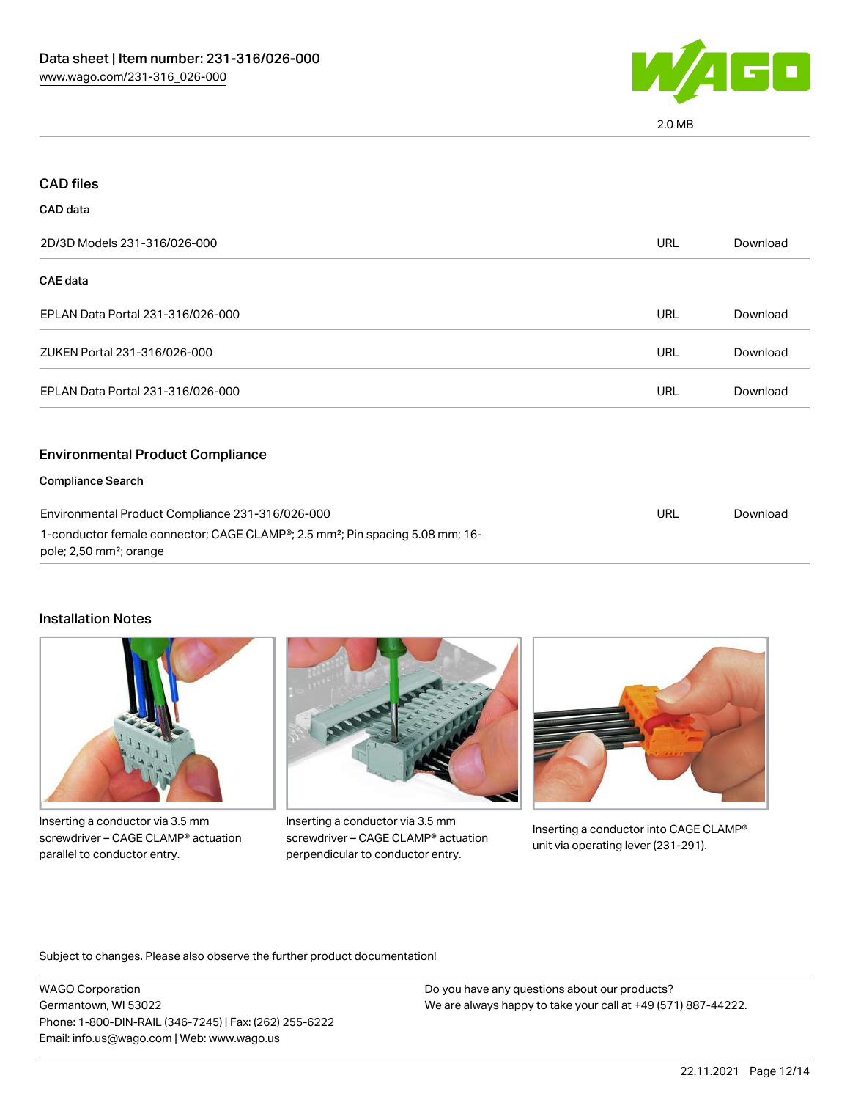

2.0 MB

| <b>CAD files</b>                                                                                                                 |            |          |
|----------------------------------------------------------------------------------------------------------------------------------|------------|----------|
| CAD data                                                                                                                         |            |          |
| 2D/3D Models 231-316/026-000                                                                                                     | URL        | Download |
| CAE data                                                                                                                         |            |          |
| EPLAN Data Portal 231-316/026-000                                                                                                | <b>URL</b> | Download |
| ZUKEN Portal 231-316/026-000                                                                                                     | <b>URL</b> | Download |
| EPLAN Data Portal 231-316/026-000                                                                                                | URL        | Download |
| <b>Environmental Product Compliance</b>                                                                                          |            |          |
| <b>Compliance Search</b>                                                                                                         |            |          |
| Environmental Product Compliance 231-316/026-000                                                                                 | <b>URL</b> | Download |
| 1-conductor female connector; CAGE CLAMP®; 2.5 mm <sup>2</sup> ; Pin spacing 5.08 mm; 16-<br>pole; 2,50 mm <sup>2</sup> ; orange |            |          |

#### Installation Notes



Inserting a conductor via 3.5 mm screwdriver – CAGE CLAMP® actuation parallel to conductor entry.



Inserting a conductor via 3.5 mm screwdriver – CAGE CLAMP® actuation perpendicular to conductor entry.



Inserting a conductor into CAGE CLAMP® unit via operating lever (231-291).

Subject to changes. Please also observe the further product documentation!

WAGO Corporation Germantown, WI 53022 Phone: 1-800-DIN-RAIL (346-7245) | Fax: (262) 255-6222 Email: info.us@wago.com | Web: www.wago.us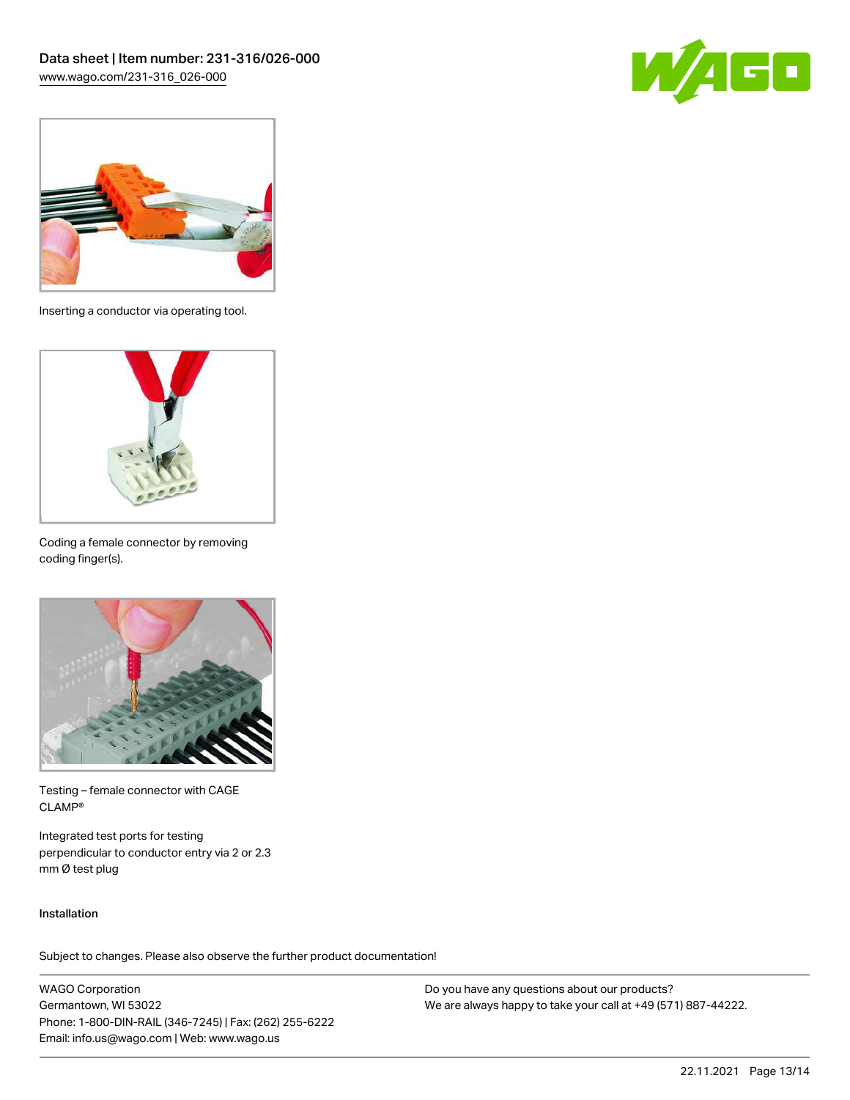



Inserting a conductor via operating tool.



Coding a female connector by removing coding finger(s).



Testing – female connector with CAGE CLAMP®

Integrated test ports for testing perpendicular to conductor entry via 2 or 2.3 mm Ø test plug

#### Installation

Subject to changes. Please also observe the further product documentation!

WAGO Corporation Germantown, WI 53022 Phone: 1-800-DIN-RAIL (346-7245) | Fax: (262) 255-6222 Email: info.us@wago.com | Web: www.wago.us